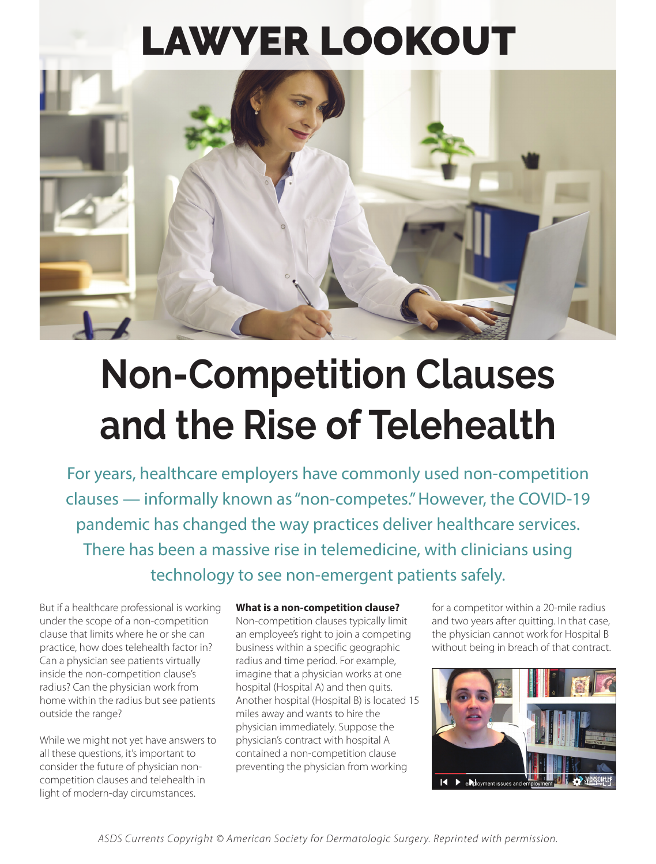# LAWYER LOOKOUT



# **Non-Competition Clauses and the Rise of Telehealth**

For years, healthcare employers have commonly used non-competition clauses — informally known as "non-competes." However, the COVID-19 pandemic has changed the way practices deliver healthcare services. There has been a massive rise in telemedicine, with clinicians using technology to see non-emergent patients safely.

But if a healthcare professional is working under the scope of a non-competition clause that limits where he or she can practice, how does telehealth factor in? Can a physician see patients virtually inside the non-competition clause's radius? Can the physician work from home within the radius but see patients outside the range?

While we might not yet have answers to all these questions, it's important to consider the future of physician noncompetition clauses and telehealth in light of modern-day circumstances.

### **What is a non-competition clause?**

Non-competition clauses typically limit an employee's right to join a competing business within a specific geographic radius and time period. For example, imagine that a physician works at one hospital (Hospital A) and then quits. Another hospital (Hospital B) is located 15 miles away and wants to hire the physician immediately. Suppose the physician's contract with hospital A contained a non-competition clause preventing the physician from working

for a competitor within a 20-mile radius and two years after quitting. In that case, the physician cannot work for Hospital B without being in breach of that contract.



*ASDS Currents Copyright © American Society for Dermatologic Surgery. Reprinted with permission.*